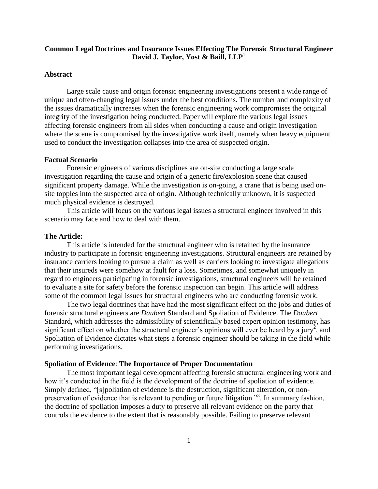# **Common Legal Doctrines and Insurance Issues Effecting The Forensic Structural Engineer David J. Taylor, Yost & Baill, LLP**<sup>1</sup>

### **Abstract**

Large scale cause and origin forensic engineering investigations present a wide range of unique and often-changing legal issues under the best conditions. The number and complexity of the issues dramatically increases when the forensic engineering work compromises the original integrity of the investigation being conducted. Paper will explore the various legal issues affecting forensic engineers from all sides when conducting a cause and origin investigation where the scene is compromised by the investigative work itself, namely when heavy equipment used to conduct the investigation collapses into the area of suspected origin.

#### **Factual Scenario**

Forensic engineers of various disciplines are on-site conducting a large scale investigation regarding the cause and origin of a generic fire/explosion scene that caused significant property damage. While the investigation is on-going, a crane that is being used onsite topples into the suspected area of origin. Although technically unknown, it is suspected much physical evidence is destroyed.

This article will focus on the various legal issues a structural engineer involved in this scenario may face and how to deal with them.

#### **The Article:**

This article is intended for the structural engineer who is retained by the insurance industry to participate in forensic engineering investigations. Structural engineers are retained by insurance carriers looking to pursue a claim as well as carriers looking to investigate allegations that their insureds were somehow at fault for a loss. Sometimes, and somewhat uniquely in regard to engineers participating in forensic investigations, structural engineers will be retained to evaluate a site for safety before the forensic inspection can begin. This article will address some of the common legal issues for structural engineers who are conducting forensic work.

The two legal doctrines that have had the most significant effect on the jobs and duties of forensic structural engineers are *Daubert* Standard and Spoliation of Evidence. The *Daubert* Standard, which addresses the admissibility of scientifically based expert opinion testimony, has significant effect on whether the structural engineer's opinions will ever be heard by a jury<sup>2</sup>, and Spoliation of Evidence dictates what steps a forensic engineer should be taking in the field while performing investigations.

#### **Spoliation of Evidence**: **The Importance of Proper Documentation**

The most important legal development affecting forensic structural engineering work and how it's conducted in the field is the development of the doctrine of spoliation of evidence. Simply defined, "[s]poliation of evidence is the destruction, significant alteration, or nonpreservation of evidence that is relevant to pending or future litigation."<sup>3</sup>. In summary fashion, the doctrine of spoliation imposes a duty to preserve all relevant evidence on the party that controls the evidence to the extent that is reasonably possible. Failing to preserve relevant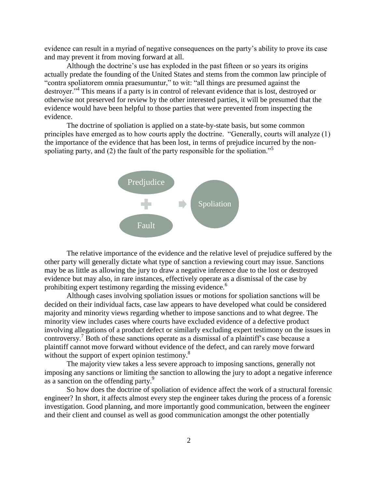evidence can result in a myriad of negative consequences on the party's ability to prove its case and may prevent it from moving forward at all.

Although the doctrine's use has exploded in the past fifteen or so years its origins actually predate the founding of the United States and stems from the common law principle of "contra spoliatorem omnia praesumuntur," to wit: "all things are presumed against the destroyer."<sup>4</sup> This means if a party is in control of relevant evidence that is lost, destroyed or otherwise not preserved for review by the other interested parties, it will be presumed that the evidence would have been helpful to those parties that were prevented from inspecting the evidence.

The doctrine of spoliation is applied on a state-by-state basis, but some common principles have emerged as to how courts apply the doctrine. "Generally, courts will analyze (1) the importance of the evidence that has been lost, in terms of prejudice incurred by the nonspoliating party, and (2) the fault of the party responsible for the spoliation."<sup>5</sup>



The relative importance of the evidence and the relative level of prejudice suffered by the other party will generally dictate what type of sanction a reviewing court may issue. Sanctions may be as little as allowing the jury to draw a negative inference due to the lost or destroyed evidence but may also, in rare instances, effectively operate as a dismissal of the case by prohibiting expert testimony regarding the missing evidence.<sup>6</sup>

Although cases involving spoliation issues or motions for spoliation sanctions will be decided on their individual facts, case law appears to have developed what could be considered majority and minority views regarding whether to impose sanctions and to what degree. The minority view includes cases where courts have excluded evidence of a defective product involving allegations of a product defect or similarly excluding expert testimony on the issues in controversy.<sup>7</sup> Both of these sanctions operate as a dismissal of a plaintiff's case because a plaintiff cannot move forward without evidence of the defect, and can rarely move forward without the support of expert opinion testimony.<sup>8</sup>

The majority view takes a less severe approach to imposing sanctions, generally not imposing any sanctions or limiting the sanction to allowing the jury to adopt a negative inference as a sanction on the offending party.<sup>9</sup>

So how does the doctrine of spoliation of evidence affect the work of a structural forensic engineer? In short, it affects almost every step the engineer takes during the process of a forensic investigation. Good planning, and more importantly good communication, between the engineer and their client and counsel as well as good communication amongst the other potentially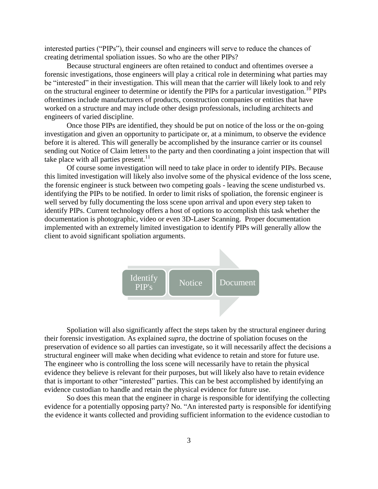interested parties ("PIPs"), their counsel and engineers will serve to reduce the chances of creating detrimental spoliation issues. So who are the other PIPs?

Because structural engineers are often retained to conduct and oftentimes oversee a forensic investigations, those engineers will play a critical role in determining what parties may be "interested" in their investigation. This will mean that the carrier will likely look to and rely on the structural engineer to determine or identify the PIPs for a particular investigation.<sup>10</sup> PIPs oftentimes include manufacturers of products, construction companies or entities that have worked on a structure and may include other design professionals, including architects and engineers of varied discipline.

Once those PIPs are identified, they should be put on notice of the loss or the on-going investigation and given an opportunity to participate or, at a minimum, to observe the evidence before it is altered. This will generally be accomplished by the insurance carrier or its counsel sending out Notice of Claim letters to the party and then coordinating a joint inspection that will take place with all parties present. $11$ 

Of course some investigation will need to take place in order to identify PIPs. Because this limited investigation will likely also involve some of the physical evidence of the loss scene, the forensic engineer is stuck between two competing goals - leaving the scene undisturbed vs. identifying the PIPs to be notified. In order to limit risks of spoliation, the forensic engineer is well served by fully documenting the loss scene upon arrival and upon every step taken to identify PIPs. Current technology offers a host of options to accomplish this task whether the documentation is photographic, video or even 3D-Laser Scanning. Proper documentation implemented with an extremely limited investigation to identify PIPs will generally allow the client to avoid significant spoliation arguments.



Spoliation will also significantly affect the steps taken by the structural engineer during their forensic investigation. As explained *supra*, the doctrine of spoliation focuses on the preservation of evidence so all parties can investigate, so it will necessarily affect the decisions a structural engineer will make when deciding what evidence to retain and store for future use. The engineer who is controlling the loss scene will necessarily have to retain the physical evidence they believe is relevant for their purposes, but will likely also have to retain evidence that is important to other "interested" parties. This can be best accomplished by identifying an evidence custodian to handle and retain the physical evidence for future use.

So does this mean that the engineer in charge is responsible for identifying the collecting evidence for a potentially opposing party? No. "An interested party is responsible for identifying the evidence it wants collected and providing sufficient information to the evidence custodian to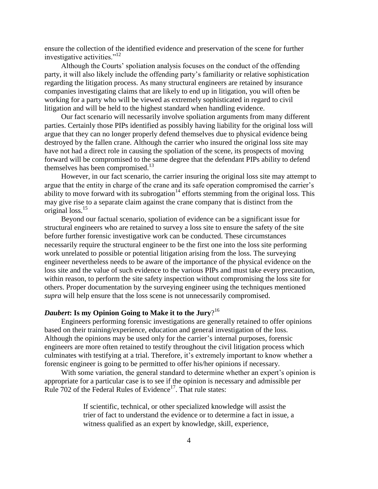ensure the collection of the identified evidence and preservation of the scene for further investigative activities."<sup>12</sup>

 Although the Courts' spoliation analysis focuses on the conduct of the offending party, it will also likely include the offending party's familiarity or relative sophistication regarding the litigation process. As many structural engineers are retained by insurance companies investigating claims that are likely to end up in litigation, you will often be working for a party who will be viewed as extremely sophisticated in regard to civil litigation and will be held to the highest standard when handling evidence.

Our fact scenario will necessarily involve spoliation arguments from many different parties. Certainly those PIPs identified as possibly having liability for the original loss will argue that they can no longer properly defend themselves due to physical evidence being destroyed by the fallen crane. Although the carrier who insured the original loss site may have not had a direct role in causing the spoliation of the scene, its prospects of moving forward will be compromised to the same degree that the defendant PIPs ability to defend themselves has been compromised.<sup>13</sup>

However, in our fact scenario, the carrier insuring the original loss site may attempt to argue that the entity in charge of the crane and its safe operation compromised the carrier's ability to move forward with its subrogation<sup>14</sup> efforts stemming from the original loss. This may give rise to a separate claim against the crane company that is distinct from the original loss.<sup>15</sup>

Beyond our factual scenario, spoliation of evidence can be a significant issue for structural engineers who are retained to survey a loss site to ensure the safety of the site before further forensic investigative work can be conducted. These circumstances necessarily require the structural engineer to be the first one into the loss site performing work unrelated to possible or potential litigation arising from the loss. The surveying engineer nevertheless needs to be aware of the importance of the physical evidence on the loss site and the value of such evidence to the various PIPs and must take every precaution, within reason, to perform the site safety inspection without compromising the loss site for others. Proper documentation by the surveying engineer using the techniques mentioned *supra* will help ensure that the loss scene is not unnecessarily compromised.

# *Daubert***: Is my Opinion Going to Make it to the Jury**? 16

Engineers performing forensic investigations are generally retained to offer opinions based on their training/experience, education and general investigation of the loss. Although the opinions may be used only for the carrier's internal purposes, forensic engineers are more often retained to testify throughout the civil litigation process which culminates with testifying at a trial. Therefore, it's extremely important to know whether a forensic engineer is going to be permitted to offer his/her opinions if necessary.

With some variation, the general standard to determine whether an expert's opinion is appropriate for a particular case is to see if the opinion is necessary and admissible per Rule  $702$  of the Federal Rules of Evidence<sup>17</sup>. That rule states:

> If scientific, technical, or other specialized knowledge will assist the trier of fact to understand the evidence or to determine a fact in issue, a witness qualified as an expert by knowledge, skill, experience,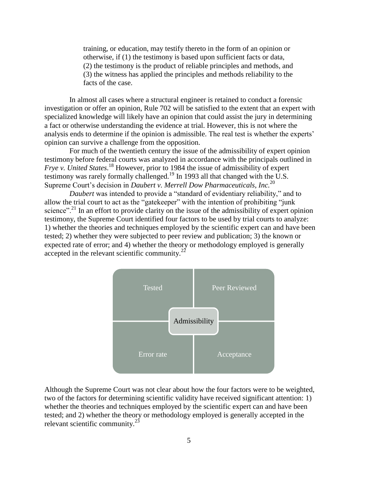training, or education, may testify thereto in the form of an opinion or otherwise, if (1) the testimony is based upon sufficient facts or data, (2) the testimony is the product of reliable principles and methods, and (3) the witness has applied the principles and methods reliability to the facts of the case.

In almost all cases where a structural engineer is retained to conduct a forensic investigation or offer an opinion, Rule 702 will be satisfied to the extent that an expert with specialized knowledge will likely have an opinion that could assist the jury in determining a fact or otherwise understanding the evidence at trial. However, this is not where the analysis ends to determine if the opinion is admissible. The real test is whether the experts' opinion can survive a challenge from the opposition.

For much of the twentieth century the issue of the admissibility of expert opinion testimony before federal courts was analyzed in accordance with the principals outlined in *Frye v. United States.*<sup>18</sup> However, prior to 1984 the issue of admissibility of expert testimony was rarely formally challenged.<sup>19</sup> In 1993 all that changed with the U.S. Supreme Court's decision in *Daubert v. Merrell Dow Pharmaceuticals, Inc.*<sup>20</sup>

*Daubert* was intended to provide a "standard of evidentiary reliability," and to allow the trial court to act as the "gatekeeper" with the intention of prohibiting "junk science".<sup>21</sup> In an effort to provide clarity on the issue of the admissibility of expert opinion testimony, the Supreme Court identified four factors to be used by trial courts to analyze: 1) whether the theories and techniques employed by the scientific expert can and have been tested; 2) whether they were subjected to peer review and publication; 3) the known or expected rate of error; and 4) whether the theory or methodology employed is generally accepted in the relevant scientific community. $^{22}$ 



Although the Supreme Court was not clear about how the four factors were to be weighted, two of the factors for determining scientific validity have received significant attention: 1) whether the theories and techniques employed by the scientific expert can and have been tested; and 2) whether the theory or methodology employed is generally accepted in the relevant scientific community.<sup>23</sup>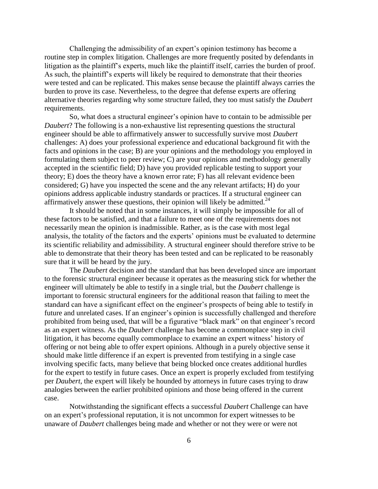Challenging the admissibility of an expert's opinion testimony has become a routine step in complex litigation. Challenges are more frequently posited by defendants in litigation as the plaintiff's experts, much like the plaintiff itself, carries the burden of proof. As such, the plaintiff's experts will likely be required to demonstrate that their theories were tested and can be replicated. This makes sense because the plaintiff always carries the burden to prove its case. Nevertheless, to the degree that defense experts are offering alternative theories regarding why some structure failed, they too must satisfy the *Daubert* requirements.

So, what does a structural engineer's opinion have to contain to be admissible per *Daubert*? The following is a non-exhaustive list representing questions the structural engineer should be able to affirmatively answer to successfully survive most *Daubert* challenges: A) does your professional experience and educational background fit with the facts and opinions in the case; B) are your opinions and the methodology you employed in formulating them subject to peer review; C) are your opinions and methodology generally accepted in the scientific field; D) have you provided replicable testing to support your theory; E) does the theory have a known error rate; F) has all relevant evidence been considered; G) have you inspected the scene and the any relevant artifacts; H) do your opinions address applicable industry standards or practices. If a structural engineer can affirmatively answer these questions, their opinion will likely be admitted.<sup>24</sup>

It should be noted that in some instances, it will simply be impossible for all of these factors to be satisfied, and that a failure to meet one of the requirements does not necessarily mean the opinion is inadmissible. Rather, as is the case with most legal analysis, the totality of the factors and the experts' opinions must be evaluated to determine its scientific reliability and admissibility. A structural engineer should therefore strive to be able to demonstrate that their theory has been tested and can be replicated to be reasonably sure that it will be heard by the jury.

The *Daubert* decision and the standard that has been developed since are important to the forensic structural engineer because it operates as the measuring stick for whether the engineer will ultimately be able to testify in a single trial, but the *Daubert* challenge is important to forensic structural engineers for the additional reason that failing to meet the standard can have a significant effect on the engineer's prospects of being able to testify in future and unrelated cases. If an engineer's opinion is successfully challenged and therefore prohibited from being used, that will be a figurative "black mark" on that engineer's record as an expert witness. As the *Daubert* challenge has become a commonplace step in civil litigation, it has become equally commonplace to examine an expert witness' history of offering or not being able to offer expert opinions. Although in a purely objective sense it should make little difference if an expert is prevented from testifying in a single case involving specific facts, many believe that being blocked once creates additional hurdles for the expert to testify in future cases. Once an expert is properly excluded from testifying per *Daubert*, the expert will likely be hounded by attorneys in future cases trying to draw analogies between the earlier prohibited opinions and those being offered in the current case.

Notwithstanding the significant effects a successful *Daubert* Challenge can have on an expert's professional reputation, it is not uncommon for expert witnesses to be unaware of *Daubert* challenges being made and whether or not they were or were not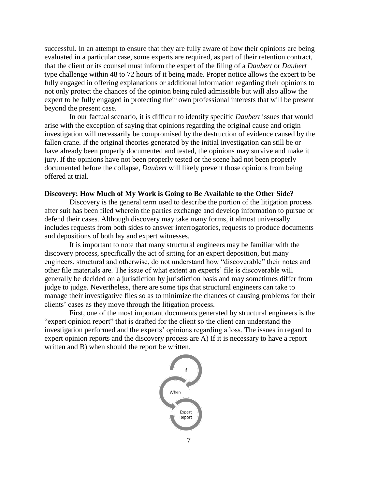successful. In an attempt to ensure that they are fully aware of how their opinions are being evaluated in a particular case, some experts are required, as part of their retention contract, that the client or its counsel must inform the expert of the filing of a *Daubert* or *Daubert* type challenge within 48 to 72 hours of it being made. Proper notice allows the expert to be fully engaged in offering explanations or additional information regarding their opinions to not only protect the chances of the opinion being ruled admissible but will also allow the expert to be fully engaged in protecting their own professional interests that will be present beyond the present case.

In our factual scenario, it is difficult to identify specific *Daubert* issues that would arise with the exception of saying that opinions regarding the original cause and origin investigation will necessarily be compromised by the destruction of evidence caused by the fallen crane. If the original theories generated by the initial investigation can still be or have already been properly documented and tested, the opinions may survive and make it jury. If the opinions have not been properly tested or the scene had not been properly documented before the collapse, *Daubert* will likely prevent those opinions from being offered at trial.

## **Discovery: How Much of My Work is Going to Be Available to the Other Side?**

Discovery is the general term used to describe the portion of the litigation process after suit has been filed wherein the parties exchange and develop information to pursue or defend their cases. Although discovery may take many forms, it almost universally includes requests from both sides to answer interrogatories, requests to produce documents and depositions of both lay and expert witnesses.

It is important to note that many structural engineers may be familiar with the discovery process, specifically the act of sitting for an expert deposition, but many engineers, structural and otherwise, do not understand how "discoverable" their notes and other file materials are. The issue of what extent an experts' file is discoverable will generally be decided on a jurisdiction by jurisdiction basis and may sometimes differ from judge to judge. Nevertheless, there are some tips that structural engineers can take to manage their investigative files so as to minimize the chances of causing problems for their clients' cases as they move through the litigation process.

First, one of the most important documents generated by structural engineers is the "expert opinion report" that is drafted for the client so the client can understand the investigation performed and the experts' opinions regarding a loss. The issues in regard to expert opinion reports and the discovery process are A) If it is necessary to have a report written and B) when should the report be written.

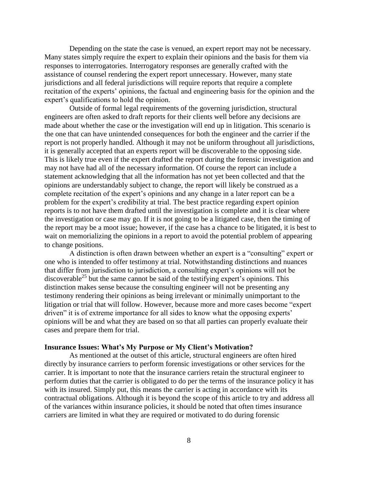Depending on the state the case is venued, an expert report may not be necessary. Many states simply require the expert to explain their opinions and the basis for them via responses to interrogatories. Interrogatory responses are generally crafted with the assistance of counsel rendering the expert report unnecessary. However, many state jurisdictions and all federal jurisdictions will require reports that require a complete recitation of the experts' opinions, the factual and engineering basis for the opinion and the expert's qualifications to hold the opinion.

Outside of formal legal requirements of the governing jurisdiction, structural engineers are often asked to draft reports for their clients well before any decisions are made about whether the case or the investigation will end up in litigation. This scenario is the one that can have unintended consequences for both the engineer and the carrier if the report is not properly handled. Although it may not be uniform throughout all jurisdictions, it is generally accepted that an experts report will be discoverable to the opposing side. This is likely true even if the expert drafted the report during the forensic investigation and may not have had all of the necessary information. Of course the report can include a statement acknowledging that all the information has not yet been collected and that the opinions are understandably subject to change, the report will likely be construed as a complete recitation of the expert's opinions and any change in a later report can be a problem for the expert's credibility at trial. The best practice regarding expert opinion reports is to not have them drafted until the investigation is complete and it is clear where the investigation or case may go. If it is not going to be a litigated case, then the timing of the report may be a moot issue; however, if the case has a chance to be litigated, it is best to wait on memorializing the opinions in a report to avoid the potential problem of appearing to change positions.

A distinction is often drawn between whether an expert is a "consulting" expert or one who is intended to offer testimony at trial. Notwithstanding distinctions and nuances that differ from jurisdiction to jurisdiction, a consulting expert's opinions will not be discoverable<sup>25</sup> but the same cannot be said of the testifying expert's opinions. This distinction makes sense because the consulting engineer will not be presenting any testimony rendering their opinions as being irrelevant or minimally unimportant to the litigation or trial that will follow. However, because more and more cases become "expert driven" it is of extreme importance for all sides to know what the opposing experts' opinions will be and what they are based on so that all parties can properly evaluate their cases and prepare them for trial.

#### **Insurance Issues: What's My Purpose or My Client's Motivation?**

As mentioned at the outset of this article, structural engineers are often hired directly by insurance carriers to perform forensic investigations or other services for the carrier. It is important to note that the insurance carriers retain the structural engineer to perform duties that the carrier is obligated to do per the terms of the insurance policy it has with its insured. Simply put, this means the carrier is acting in accordance with its contractual obligations. Although it is beyond the scope of this article to try and address all of the variances within insurance policies, it should be noted that often times insurance carriers are limited in what they are required or motivated to do during forensic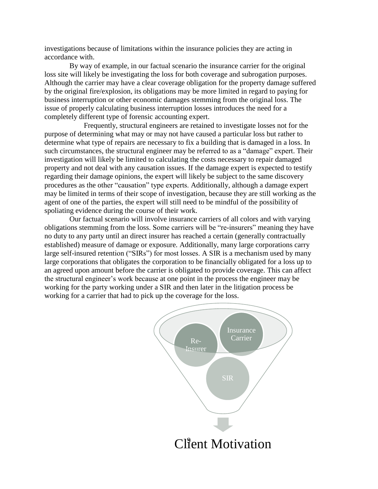investigations because of limitations within the insurance policies they are acting in accordance with.

By way of example, in our factual scenario the insurance carrier for the original loss site will likely be investigating the loss for both coverage and subrogation purposes. Although the carrier may have a clear coverage obligation for the property damage suffered by the original fire/explosion, its obligations may be more limited in regard to paying for business interruption or other economic damages stemming from the original loss. The issue of properly calculating business interruption losses introduces the need for a completely different type of forensic accounting expert.

Frequently, structural engineers are retained to investigate losses not for the purpose of determining what may or may not have caused a particular loss but rather to determine what type of repairs are necessary to fix a building that is damaged in a loss. In such circumstances, the structural engineer may be referred to as a "damage" expert. Their investigation will likely be limited to calculating the costs necessary to repair damaged property and not deal with any causation issues. If the damage expert is expected to testify regarding their damage opinions, the expert will likely be subject to the same discovery procedures as the other "causation" type experts. Additionally, although a damage expert may be limited in terms of their scope of investigation, because they are still working as the agent of one of the parties, the expert will still need to be mindful of the possibility of spoliating evidence during the course of their work.

Our factual scenario will involve insurance carriers of all colors and with varying obligations stemming from the loss. Some carriers will be "re-insurers" meaning they have no duty to any party until an direct insurer has reached a certain (generally contractually established) measure of damage or exposure. Additionally, many large corporations carry large self-insured retention ("SIRs") for most losses. A SIR is a mechanism used by many large corporations that obligates the corporation to be financially obligated for a loss up to an agreed upon amount before the carrier is obligated to provide coverage. This can affect the structural engineer's work because at one point in the process the engineer may be working for the party working under a SIR and then later in the litigation process be working for a carrier that had to pick up the coverage for the loss.

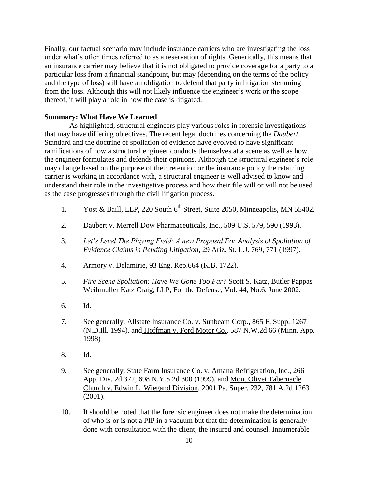Finally, our factual scenario may include insurance carriers who are investigating the loss under what's often times referred to as a reservation of rights. Generically, this means that an insurance carrier may believe that it is not obligated to provide coverage for a party to a particular loss from a financial standpoint, but may (depending on the terms of the policy and the type of loss) still have an obligation to defend that party in litigation stemming from the loss. Although this will not likely influence the engineer's work or the scope thereof, it will play a role in how the case is litigated.

## **Summary: What Have We Learned**

As highlighted, structural engineers play various roles in forensic investigations that may have differing objectives. The recent legal doctrines concerning the *Daubert*  Standard and the doctrine of spoliation of evidence have evolved to have significant ramifications of how a structural engineer conducts themselves at a scene as well as how the engineer formulates and defends their opinions. Although the structural engineer's role may change based on the purpose of their retention or the insurance policy the retaining carrier is working in accordance with, a structural engineer is well advised to know and understand their role in the investigative process and how their file will or will not be used as the case progresses through the civil litigation process.

- 1. Yost & Baill, LLP, 220 South 6<sup>th</sup> Street, Suite 2050, Minneapolis, MN 55402.
- 2. Daubert v. Merrell Dow Pharmaceuticals, Inc., 509 U.S. 579, 590 (1993).
- 3. *Let's Level The Playing Field: A new Proposal For Analysis of Spoliation of Evidence Claims in Pending Litigation*, 29 Ariz. St. L.J. 769, 771 (1997).
- 4. Armory v. Delamirie, 93 Eng. Rep.664 (K.B. 1722).
- 5. *Fire Scene Spoliation: Have We Gone Too Far?* Scott S. Katz, Butler Pappas Weihmuller Katz Craig, LLP, For the Defense, Vol. 44, No.6, June 2002.
- 6. Id.

 $\overline{a}$ 

- 7. See generally, Allstate Insurance Co. v. Sunbeam Corp., 865 F. Supp. 1267 (N.D.Ill. 1994), and Hoffman v. Ford Motor Co., 587 N.W.2d 66 (Minn. App. 1998)
- 8. Id.
- 9. See generally, State Farm Insurance Co. v. Amana Refrigeration, Inc*.*, 266 App. Div. 2d 372, 698 N.Y.S.2d 300 (1999), and Mont Olivet Tabernacle Church v. Edwin L. Wiegand Division, 2001 Pa. Super. 232, 781 A.2d 1263 (2001).
- 10. It should be noted that the forensic engineer does not make the determination of who is or is not a PIP in a vacuum but that the determination is generally done with consultation with the client, the insured and counsel. Innumerable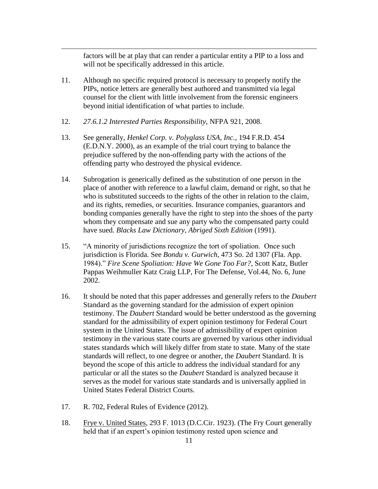factors will be at play that can render a particular entity a PIP to a loss and will not be specifically addressed in this article.

- 11. Although no specific required protocol is necessary to properly notify the PIPs, notice letters are generally best authored and transmitted via legal counsel for the client with little involvement from the forensic engineers beyond initial identification of what parties to include.
- 12. *27.6.1.2 Interested Parties Responsibility*, NFPA 921, 2008.

 $\overline{a}$ 

- 13. See generally, *Henkel Corp. v. Polyglass USA, Inc.,* 194 F.R.D. 454 (E.D.N.Y. 2000), as an example of the trial court trying to balance the prejudice suffered by the non-offending party with the actions of the offending party who destroyed the physical evidence.
- 14. Subrogation is generically defined as the substitution of one person in the place of another with reference to a lawful claim, demand or right, so that he who is substituted succeeds to the rights of the other in relation to the claim, and its rights, remedies, or securities. Insurance companies, guarantors and bonding companies generally have the right to step into the shoes of the party whom they compensate and sue any party who the compensated party could have sued. *Blacks Law Dictionary, Abriged Sixth Edition* (1991).
- 15. "A minority of jurisdictions recognize the tort of spoliation. Once such jurisdiction is Florida. See *Bondu v. Gurwich*, 473 So. 2d 1307 (Fla. App. 1984)." *Fire Scene Spoliation: Have We Gone Too Far?*, Scott Katz, Butler Pappas Weihmuller Katz Craig LLP, For The Defense, Vol.44, No. 6, June 2002.
- 16. It should be noted that this paper addresses and generally refers to the *Daubert* Standard as the governing standard for the admission of expert opinion testimony. The *Daubert* Standard would be better understood as the governing standard for the admissibility of expert opinion testimony for Federal Court system in the United States. The issue of admissibility of expert opinion testimony in the various state courts are governed by various other individual states standards which will likely differ from state to state. Many of the state standards will reflect, to one degree or another, the *Daubert* Standard. It is beyond the scope of this article to address the individual standard for any particular or all the states so the *Daubert* Standard is analyzed because it serves as the model for various state standards and is universally applied in United States Federal District Courts.
- 17. R. 702, Federal Rules of Evidence (2012).
- 18. Frye v. United States, 293 F. 1013 (D.C.Cir. 1923). (The Fry Court generally held that if an expert's opinion testimony rested upon science and